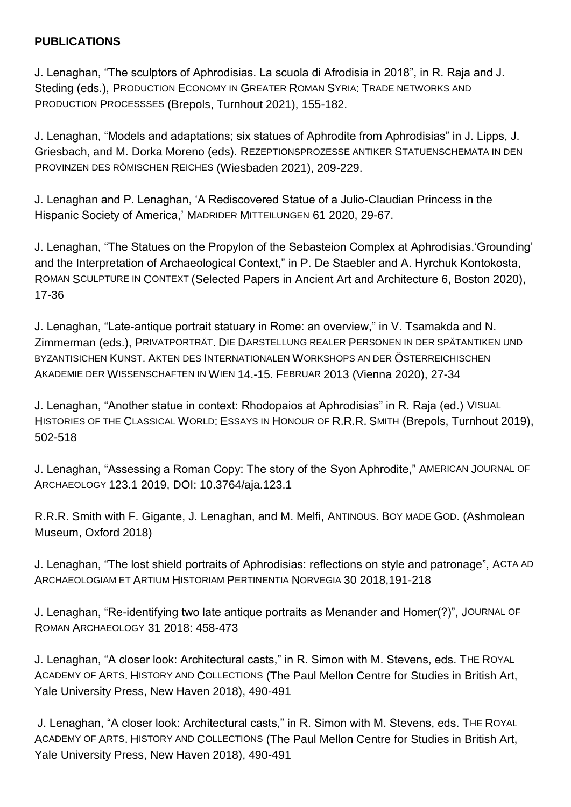## **PUBLICATIONS**

J. Lenaghan, "The sculptors of Aphrodisias. La scuola di Afrodisia in 2018", in R. Raja and J. Steding (eds.), PRODUCTION ECONOMY IN GREATER ROMAN SYRIA: TRADE NETWORKS AND PRODUCTION PROCESSSES (Brepols, Turnhout 2021), 155-182.

J. Lenaghan, "Models and adaptations; six statues of Aphrodite from Aphrodisias" in J. Lipps, J. Griesbach, and M. Dorka Moreno (eds). REZEPTIONSPROZESSE ANTIKER STATUENSCHEMATA IN DEN PROVINZEN DES RÖMISCHEN REICHES (Wiesbaden 2021), 209-229.

J. Lenaghan and P. Lenaghan, 'A Rediscovered Statue of a Julio-Claudian Princess in the Hispanic Society of America,' MADRIDER MITTEILUNGEN 61 2020, 29-67.

J. Lenaghan, "The Statues on the Propylon of the Sebasteion Complex at Aphrodisias.'Grounding' and the Interpretation of Archaeological Context," in P. De Staebler and A. Hyrchuk Kontokosta, ROMAN SCULPTURE IN CONTEXT (Selected Papers in Ancient Art and Architecture 6, Boston 2020), 17-36

J. Lenaghan, "Late-antique portrait statuary in Rome: an overview," in V. Tsamakda and N. Zimmerman (eds.), PRIVATPORTRÄT. DIE DARSTELLUNG REALER PERSONEN IN DER SPÄTANTIKEN UND BYZANTISICHEN KUNST. AKTEN DES INTERNATIONALEN WORKSHOPS AN DER ÖSTERREICHISCHEN AKADEMIE DER WISSENSCHAFTEN IN WIEN 14.-15. FEBRUAR 2013 (Vienna 2020), 27-34

J. Lenaghan, "Another statue in context: Rhodopaios at Aphrodisias" in R. Raja (ed.) VISUAL HISTORIES OF THE CLASSICAL WORLD: ESSAYS IN HONOUR OF R.R.R. SMITH (Brepols, Turnhout 2019), 502-518

J. Lenaghan, "Assessing a Roman Copy: The story of the Syon Aphrodite," AMERICAN JOURNAL OF ARCHAEOLOGY 123.1 2019, DOI: 10.3764/aja.123.1

R.R.R. Smith with F. Gigante, J. Lenaghan, and M. Melfi, ANTINOUS. BOY MADE GOD. (Ashmolean Museum, Oxford 2018)

J. Lenaghan, "The lost shield portraits of Aphrodisias: reflections on style and patronage", ACTA AD ARCHAEOLOGIAM ET ARTIUM HISTORIAM PERTINENTIA NORVEGIA 30 2018,191-218

J. Lenaghan, "Re-identifying two late antique portraits as Menander and Homer(?)", JOURNAL OF ROMAN ARCHAEOLOGY 31 2018: 458-473

J. Lenaghan, "A closer look: Architectural casts," in R. Simon with M. Stevens, eds. THE ROYAL ACADEMY OF ARTS. HISTORY AND COLLECTIONS (The Paul Mellon Centre for Studies in British Art, Yale University Press, New Haven 2018), 490-491

J. Lenaghan, "A closer look: Architectural casts," in R. Simon with M. Stevens, eds. THE ROYAL ACADEMY OF ARTS. HISTORY AND COLLECTIONS (The Paul Mellon Centre for Studies in British Art, Yale University Press, New Haven 2018), 490-491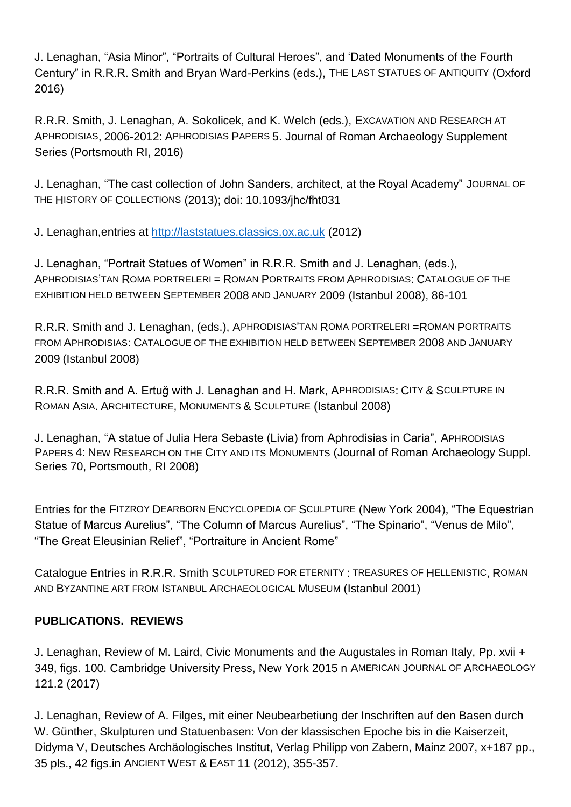J. Lenaghan, "Asia Minor", "Portraits of Cultural Heroes", and 'Dated Monuments of the Fourth Century" in R.R.R. Smith and Bryan Ward-Perkins (eds.), THE LAST STATUES OF ANTIQUITY (Oxford 2016)

R.R.R. Smith, J. Lenaghan, A. Sokolicek, and K. Welch (eds.), EXCAVATION AND RESEARCH AT APHRODISIAS, 2006-2012: APHRODISIAS PAPERS 5. Journal of Roman Archaeology Supplement Series (Portsmouth RI, 2016)

J. Lenaghan, "The cast collection of John Sanders, architect, at the Royal Academy" JOURNAL OF THE HISTORY OF COLLECTIONS (2013); doi: 10.1093/jhc/fht031

J. Lenaghan,entries at [http://laststatues.classics.ox.ac.uk](http://laststatues.classics.ox.ac.uk/) (2012)

J. Lenaghan, "Portrait Statues of Women" in R.R.R. Smith and J. Lenaghan, (eds.), APHRODISIAS'TAN ROMA PORTRELERI = ROMAN PORTRAITS FROM APHRODISIAS: CATALOGUE OF THE EXHIBITION HELD BETWEEN SEPTEMBER 2008 AND JANUARY 2009 (Istanbul 2008), 86-101

R.R.R. Smith and J. Lenaghan, (eds.), APHRODISIAS'TAN ROMA PORTRELERI =ROMAN PORTRAITS FROM APHRODISIAS: CATALOGUE OF THE EXHIBITION HELD BETWEEN SEPTEMBER 2008 AND JANUARY 2009 (Istanbul 2008)

R.R.R. Smith and A. Ertuğ with J. Lenaghan and H. Mark, APHRODISIAS: CITY & SCULPTURE IN ROMAN ASIA. ARCHITECTURE, MONUMENTS & SCULPTURE (Istanbul 2008)

J. Lenaghan, "A statue of Julia Hera Sebaste (Livia) from Aphrodisias in Caria", APHRODISIAS PAPERS 4: NEW RESEARCH ON THE CITY AND ITS MONUMENTS (Journal of Roman Archaeology Suppl. Series 70, Portsmouth, RI 2008)

Entries for the FITZROY DEARBORN ENCYCLOPEDIA OF SCULPTURE (New York 2004), "The Equestrian Statue of Marcus Aurelius", "The Column of Marcus Aurelius", "The Spinario", "Venus de Milo", "The Great Eleusinian Relief", "Portraiture in Ancient Rome"

Catalogue Entries in R.R.R. Smith SCULPTURED FOR ETERNITY : TREASURES OF HELLENISTIC, ROMAN AND BYZANTINE ART FROM ISTANBUL ARCHAEOLOGICAL MUSEUM (Istanbul 2001)

## **PUBLICATIONS. REVIEWS**

J. Lenaghan, Review of M. Laird, Civic Monuments and the Augustales in Roman Italy, Pp. xvii + 349, figs. 100. Cambridge University Press, New York 2015 n AMERICAN JOURNAL OF ARCHAEOLOGY 121.2 (2017)

J. Lenaghan, Review of A. Filges, mit einer Neubearbetiung der Inschriften auf den Basen durch W. Günther, Skulpturen und Statuenbasen: Von der klassischen Epoche bis in die Kaiserzeit, Didyma V, Deutsches Archäologisches Institut, Verlag Philipp von Zabern, Mainz 2007, x+187 pp., 35 pls., 42 figs.in ANCIENT WEST & EAST 11 (2012), 355-357.